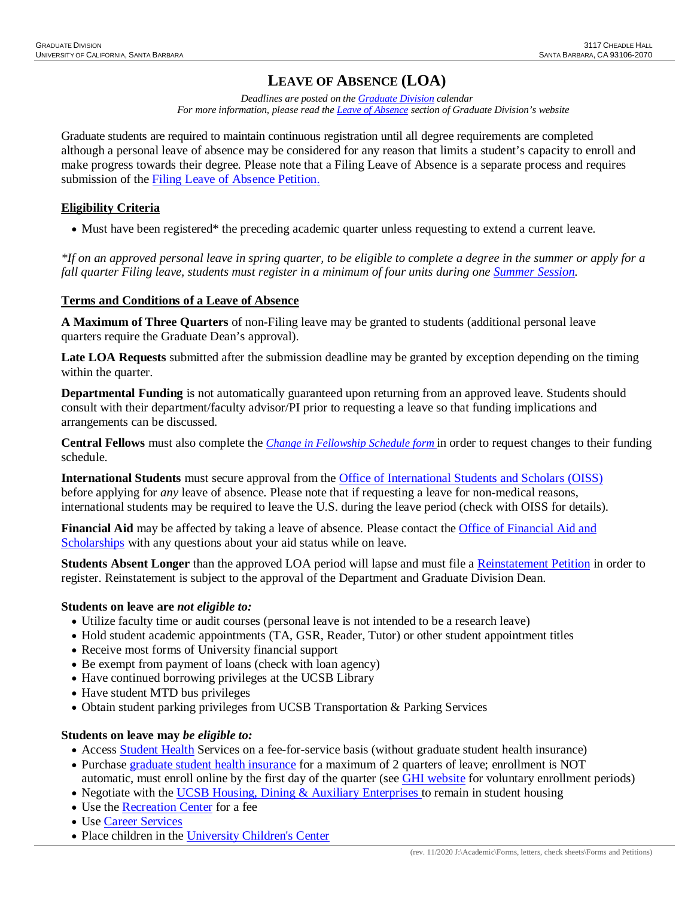# **LEAVE OF ABSENCE (LOA)**

*Deadlines are posted on the [Graduate Division](http://www.graddiv.ucsb.edu/academic/petition-advancement-filing-deadlines) calendar For more information, please read th[e Leave of Absence](http://www.graddiv.ucsb.edu/academic/forms-petitions/leave-of-absence) section of Graduate Division's website*

Graduate students are required to maintain continuous registration until all degree requirements are completed although a personal leave of absence may be considered for any reason that limits a student's capacity to enroll and make progress towards their degree. Please note that a Filing Leave of Absence is a separate process and requires submission of the Filing Leave of [Absence Petition.](http://www.graddiv.ucsb.edu/academic/forms-petitions/leave-of-absence/filing-leave-of-absence)

# **Eligibility Criteria**

• Must have been registered\* the preceding academic quarter unless requesting to extend a current leave.

*\*If on an approved personal leave in spring quarter, to be eligible to complete a degree in the summer or apply for a fall quarter Filing leave, students must register in a minimum of four units during one [Summer Session.](https://www.summer.ucsb.edu/)* 

## **Terms and Conditions of a Leave of Absence**

**A Maximum of Three Quarters** of non-Filing leave may be granted to students (additional personal leave quarters require the Graduate Dean's approval).

**Late LOA Requests** submitted after the submission deadline may be granted by exception depending on the timing within the quarter.

**Departmental Funding** is not automatically guaranteed upon returning from an approved leave. Students should consult with their department/faculty advisor/PI prior to requesting a leave so that funding implications and arrangements can be discussed.

**Central Fellows** must also complete the *[Change in Fellowship Schedule](http://graddiv.ucsb.edu/academic/forms-petitions.aspx) form* in order to request changes to their funding schedule.

**International Students** must secure approval from the [Office of International Students and Scholars \(OISS\)](https://oiss.ucsb.edu/) before applying for *any* leave of absence. Please note that if requesting a leave for non-medical reasons, international students may be required to leave the U.S. during the leave period (check with OISS for details).

**Financial Aid** may be affected by taking a leave of absence. Please contact the [Office of Financial Aid and](https://www.finaid.ucsb.edu/)  [Scholarships](https://www.finaid.ucsb.edu/) with any questions about your aid status while on leave.

**Students Absent Longer** than the approved LOA period will lapse and must file a [Reinstatement Petition](http://www.graddiv.ucsb.edu/academic/forms-petitions) in order to register. Reinstatement is subject to the approval of the Department and Graduate Division Dean.

### **Students on leave are** *not eligible to:*

- Utilize faculty time or audit courses (personal leave is not intended to be a research leave)
- Hold student academic appointments (TA, GSR, Reader, Tutor) or other student appointment titles
- Receive most forms of University financial support
- Be exempt from payment of loans (check with loan agency)
- Have continued borrowing privileges at the UCSB Library
- Have student MTD bus privileges
- Obtain student parking privileges from UCSB Transportation & Parking Services

### **Students on leave may** *be eligible to:*

- Access [Student Health](https://studenthealth.sa.ucsb.edu/) Services on a fee-for-service basis (without graduate student health insurance)
- Purchase [graduate student health insurance](http://studenthealth.sa.ucsb.edu/GHI.aspx) for a maximum of 2 quarters of leave; enrollment is NOT automatic, must enroll online by the first day of the quarter (see **GHI** website for voluntary enrollment periods)
- Negotiate with the [UCSB Housing, Dining & Auxiliary Enterprises](https://www.housing.ucsb.edu/home) to remain in student housing
- Use the [Recreation Center](http://recreation.sa.ucsb.edu/) for a fee
- Use [Career Services](http://career.sa.ucsb.edu/)
- Place children in the [University Children's Center](http://childrenscenter.sa.ucsb.edu/ContactUs/index.aspx)